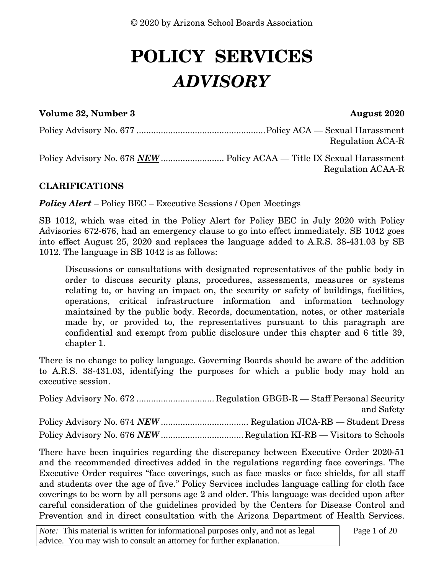# **POLICY SERVICES** *ADVISORY*

#### **Volume 32, Number 3 August 2020**

Policy Advisory No. 677 ..................................................... Policy ACA — Sexual Harassment Regulation ACA-R

Policy Advisory No. 678 *NEW* .......................... Policy ACAA — Title IX Sexual Harassment Regulation ACAA-R

#### **CLARIFICATIONS**

*Policy Alert* – Policy BEC – Executive Sessions / Open Meetings

SB 1012, which was cited in the Policy Alert for Policy BEC in July 2020 with Policy Advisories 672-676, had an emergency clause to go into effect immediately. SB 1042 goes into effect August 25, 2020 and replaces the language added to A.R.S. 38-431.03 by SB 1012. The language in SB 1042 is as follows:

Discussions or consultations with designated representatives of the public body in order to discuss security plans, procedures, assessments, measures or systems relating to, or having an impact on, the security or safety of buildings, facilities, operations, critical infrastructure information and information technology maintained by the public body. Records, documentation, notes, or other materials made by, or provided to, the representatives pursuant to this paragraph are confidential and exempt from public disclosure under this chapter and 6 title 39, chapter 1.

There is no change to policy language. Governing Boards should be aware of the addition to A.R.S. 38-431.03, identifying the purposes for which a public body may hold an executive session.

Policy Advisory No. 672 ................................ Regulation GBGB-R — Staff Personal Security and Safety Policy Advisory No. 674 *NEW* .................................... Regulation JICA-RB — Student Dress Policy Advisory No. 676 *NEW* ...................................Regulation KI-RB — Visitors to Schools

There have been inquiries regarding the discrepancy between Executive Order 2020-51 and the recommended directives added in the regulations regarding face coverings. The Executive Order requires "face coverings, such as face masks or face shields, for all staff and students over the age of five." Policy Services includes language calling for cloth face coverings to be worn by all persons age 2 and older. This language was decided upon after careful consideration of the guidelines provided by the Centers for Disease Control and Prevention and in direct consultation with the Arizona Department of Health Services.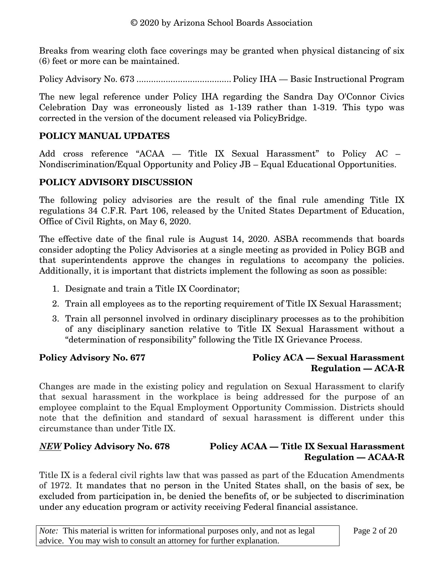Breaks from wearing cloth face coverings may be granted when physical distancing of six (6) feet or more can be maintained.

Policy Advisory No. 673 ....................................... Policy IHA — Basic Instructional Program

The new legal reference under Policy IHA regarding the Sandra Day O'Connor Civics Celebration Day was erroneously listed as 1-139 rather than 1-319. This typo was corrected in the version of the document released via PolicyBridge.

#### **POLICY MANUAL UPDATES**

Add cross reference "ACAA — Title IX Sexual Harassment" to Policy AC – Nondiscrimination/Equal Opportunity and Policy JB – Equal Educational Opportunities.

#### **POLICY ADVISORY DISCUSSION**

The following policy advisories are the result of the final rule amending Title IX regulations 34 C.F.R. Part 106, released by the United States Department of Education, Office of Civil Rights, on May 6, 2020.

The effective date of the final rule is August 14, 2020. ASBA recommends that boards consider adopting the Policy Advisories at a single meeting as provided in Policy BGB and that superintendents approve the changes in regulations to accompany the policies. Additionally, it is important that districts implement the following as soon as possible:

- 1. Designate and train a Title IX Coordinator;
- 2. Train all employees as to the reporting requirement of Title IX Sexual Harassment;
- 3. Train all personnel involved in ordinary disciplinary processes as to the prohibition of any disciplinary sanction relative to Title IX Sexual Harassment without a "determination of responsibility" following the Title IX Grievance Process.

#### Policy Advisory No. 677 Policy ACA — Sexual Harassment **Regulation — ACA-R**

Changes are made in the existing policy and regulation on Sexual Harassment to clarify that sexual harassment in the workplace is being addressed for the purpose of an employee complaint to the Equal Employment Opportunity Commission. Districts should note that the definition and standard of sexual harassment is different under this circumstance than under Title IX.

#### *NEW* **Policy Advisory No. 678 Policy ACAA — Title IX Sexual Harassment Regulation — ACAA-R**

Title IX is a federal civil rights law that was passed as part of the Education Amendments of 1972. It mandates that no person in the United States shall, on the basis of sex, be excluded from participation in, be denied the benefits of, or be subjected to discrimination under any education program or activity receiving Federal financial assistance.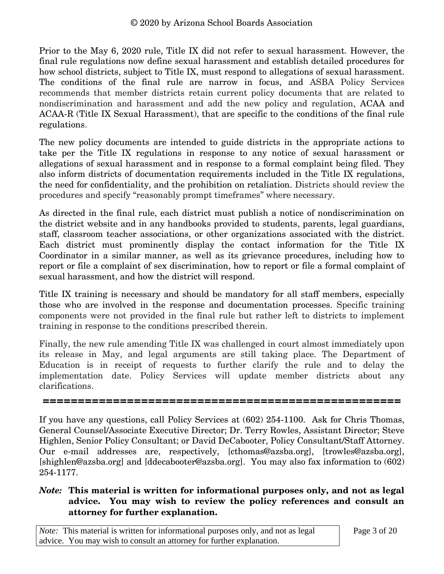Prior to the May 6, 2020 rule, Title IX did not refer to sexual harassment. However, the final rule regulations now define sexual harassment and establish detailed procedures for how school districts, subject to Title IX, must respond to allegations of sexual harassment. The conditions of the final rule are narrow in focus, and ASBA Policy Services recommends that member districts retain current policy documents that are related to nondiscrimination and harassment and add the new policy and regulation, ACAA and ACAA-R (Title IX Sexual Harassment), that are specific to the conditions of the final rule regulations.

The new policy documents are intended to guide districts in the appropriate actions to take per the Title IX regulations in response to any notice of sexual harassment or allegations of sexual harassment and in response to a formal complaint being filed. They also inform districts of documentation requirements included in the Title IX regulations, the need for confidentiality, and the prohibition on retaliation. Districts should review the procedures and specify "reasonably prompt timeframes" where necessary.

As directed in the final rule, each district must publish a notice of nondiscrimination on the district website and in any handbooks provided to students, parents, legal guardians, staff, classroom teacher associations, or other organizations associated with the district. Each district must prominently display the contact information for the Title IX Coordinator in a similar manner, as well as its grievance procedures, including how to report or file a complaint of sex discrimination, how to report or file a formal complaint of sexual harassment, and how the district will respond.

Title IX training is necessary and should be mandatory for all staff members, especially those who are involved in the response and documentation processes. Specific training components were not provided in the final rule but rather left to districts to implement training in response to the conditions prescribed therein.

Finally, the new rule amending Title IX was challenged in court almost immediately upon its release in May, and legal arguments are still taking place. The Department of Education is in receipt of requests to further clarify the rule and to delay the implementation date. Policy Services will update member districts about any clarifications.

**===================================================**

If you have any questions, call Policy Services at (602) 254-1100. Ask for Chris Thomas, General Counsel/Associate Executive Director; Dr. Terry Rowles, Assistant Director; Steve Highlen, Senior Policy Consultant; or David DeCabooter, Policy Consultant/Staff Attorney. Our e-mail addresses are, respectively, [cthomas@azsba.org], [trowles@azsba.org], [shighlen@azsba.org] and [ddecabooter@azsba.org]. You may also fax information to (602) 254-1177.

#### *Note:* **This material is written for informational purposes only, and not as legal advice. You may wish to review the policy references and consult an attorney for further explanation.**

*Note:* This material is written for informational purposes only, and not as legal advice. You may wish to consult an attorney for further explanation.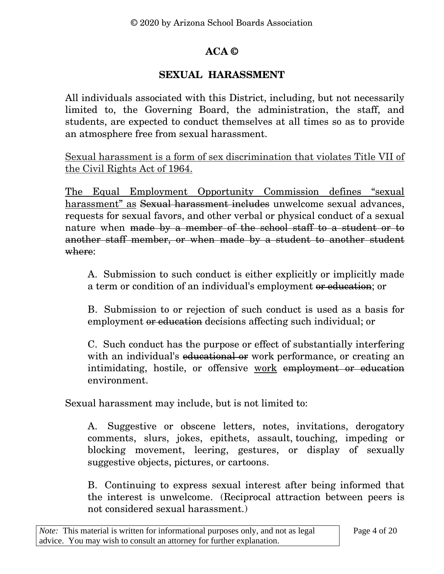# **ACA ©**

# **SEXUAL HARASSMENT**

All individuals associated with this District, including, but not necessarily limited to, the Governing Board, the administration, the staff, and students, are expected to conduct themselves at all times so as to provide an atmosphere free from sexual harassment.

Sexual harassment is a form of sex discrimination that violates Title VII of the Civil Rights Act of 1964.

The Equal Employment Opportunity Commission defines "sexual harassment" as Sexual harassment includes unwelcome sexual advances, requests for sexual favors, and other verbal or physical conduct of a sexual nature when made by a member of the school staff to a student or to another staff member, or when made by a student to another student where:

A. Submission to such conduct is either explicitly or implicitly made a term or condition of an individual's employment or education; or

B. Submission to or rejection of such conduct is used as a basis for employment or education decisions affecting such individual; or

C. Such conduct has the purpose or effect of substantially interfering with an individual's educational or work performance, or creating an intimidating, hostile, or offensive work employment or education environment.

Sexual harassment may include, but is not limited to:

A. Suggestive or obscene letters, notes, invitations, derogatory comments, slurs, jokes, epithets, assault, touching, impeding or blocking movement, leering, gestures, or display of sexually suggestive objects, pictures, or cartoons.

B. Continuing to express sexual interest after being informed that the interest is unwelcome. (Reciprocal attraction between peers is not considered sexual harassment.)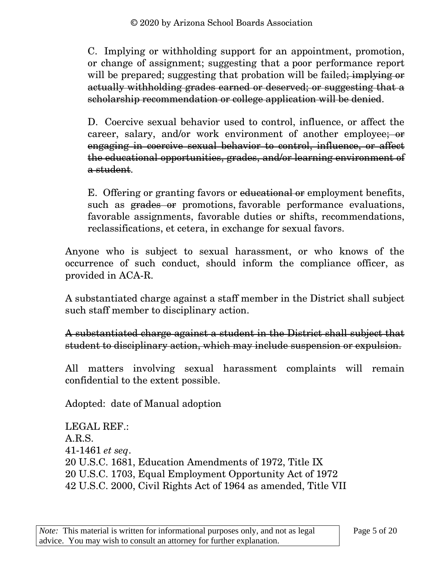C. Implying or withholding support for an appointment, promotion, or change of assignment; suggesting that a poor performance report will be prepared; suggesting that probation will be failed; implying or actually withholding grades earned or deserved; or suggesting that a scholarship recommendation or college application will be denied.

D. Coercive sexual behavior used to control, influence, or affect the career, salary, and/or work environment of another employee; or engaging in coercive sexual behavior to control, influence, or affect the educational opportunities, grades, and/or learning environment of a student.

E. Offering or granting favors or educational or employment benefits, such as **grades or** promotions, favorable performance evaluations, favorable assignments, favorable duties or shifts, recommendations, reclassifications, et cetera, in exchange for sexual favors.

Anyone who is subject to sexual harassment, or who knows of the occurrence of such conduct, should inform the compliance officer, as provided in ACA-R.

A substantiated charge against a staff member in the District shall subject such staff member to disciplinary action.

A substantiated charge against a student in the District shall subject that student to disciplinary action, which may include suspension or expulsion.

All matters involving sexual harassment complaints will remain confidential to the extent possible.

Adopted: date of Manual adoption

LEGAL REF.: A.R.S. [41-1461](http://www.azleg.gov/viewdocument/?docName=http://www.azleg.gov/ars/41/01461.htm) *et seq*. 20 U.S.C. 1681, Education Amendments of 1972, Title IX 20 U.S.C. 1703, Equal Employment Opportunity Act of 1972 42 U.S.C. 2000, Civil Rights Act of 1964 as amended, Title VII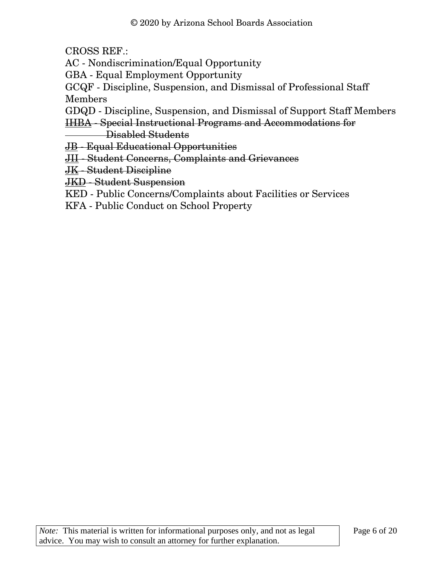CROSS REF.:

[AC](https://policy.azsba.org/asba/DocViewer.jsp?docid=9&z2collection=nepn1#JD_AC) - Nondiscrimination/Equal Opportunity

[GBA](https://policy.azsba.org/asba/DocViewer.jsp?docid=204&z2collection=nepn1#JD_GBA) - Equal Employment Opportunity

[GCQF](https://policy.azsba.org/asba/DocViewer.jsp?docid=297&z2collection=nepn1#JD_GCQF) - Discipline, Suspension, and Dismissal of Professional Staff Members

[GDQD](https://policy.azsba.org/asba/DocViewer.jsp?docid=332&z2collection=nepn1#JD_GDQD) - Discipline, Suspension, and Dismissal of Support Staff Members

[IHBA](https://policy.azsba.org/asba/DocViewer.jsp?docid=355&z2collection=nepn1#JD_IHBA) - Special Instructional Programs and Accommodations for

Disabled Students

[JB](https://policy.azsba.org/asba/DocViewer.jsp?docid=432&z2collection=nepn1#JD_JB) - Equal Educational Opportunities

[JII](https://policy.azsba.org/asba/DocViewer.jsp?docid=510&z2collection=nepn1#JD_JII) - Student Concerns, Complaints and Grievances

[JK](https://policy.azsba.org/asba/DocViewer.jsp?docid=527&z2collection=nepn1#JD_JK) - Student Discipline

[JKD](https://policy.azsba.org/asba/DocViewer.jsp?docid=540&z2collection=nepn1#JD_JKD) - Student Suspension

[KED](https://policy.azsba.org/asba/DocViewer.jsp?docid=625&z2collection=nepn1#JD_KED) - Public Concerns/Complaints about Facilities or Services

[KFA](https://policy.azsba.org/asba/DocViewer.jsp?docid=634&z2collection=nepn1#JD_KFA) - Public Conduct on School Property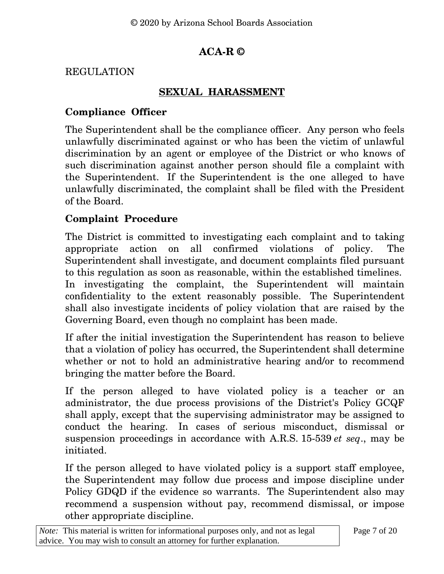# **ACA-R ©**

### REGULATION

### **SEXUAL HARASSMENT**

### **Compliance Officer**

The Superintendent shall be the compliance officer. Any person who feels unlawfully discriminated against or who has been the victim of unlawful discrimination by an agent or employee of the District or who knows of such discrimination against another person should file a complaint with the Superintendent. If the Superintendent is the one alleged to have unlawfully discriminated, the complaint shall be filed with the President of the Board.

# **Complaint Procedure**

The District is committed to investigating each complaint and to taking appropriate action on all confirmed violations of policy. The Superintendent shall investigate, and document complaints filed pursuant to this regulation as soon as reasonable, within the established timelines. In investigating the complaint, the Superintendent will maintain confidentiality to the extent reasonably possible. The Superintendent shall also investigate incidents of policy violation that are raised by the Governing Board, even though no complaint has been made.

If after the initial investigation the Superintendent has reason to believe that a violation of policy has occurred, the Superintendent shall determine whether or not to hold an administrative hearing and/or to recommend bringing the matter before the Board.

If the person alleged to have violated policy is a teacher or an administrator, the due process provisions of the District's Policy GCQF shall apply, except that the supervising administrator may be assigned to conduct the hearing. In cases of serious misconduct, dismissal or suspension proceedings in accordance with A.R.S. [15-539](http://www.azleg.gov/viewdocument/?docName=http://www.azleg.gov/ars/15/00539.htm) *et seq*., may be initiated.

If the person alleged to have violated policy is a support staff employee, the Superintendent may follow due process and impose discipline under Policy GDQD if the evidence so warrants. The Superintendent also may recommend a suspension without pay, recommend dismissal, or impose other appropriate discipline.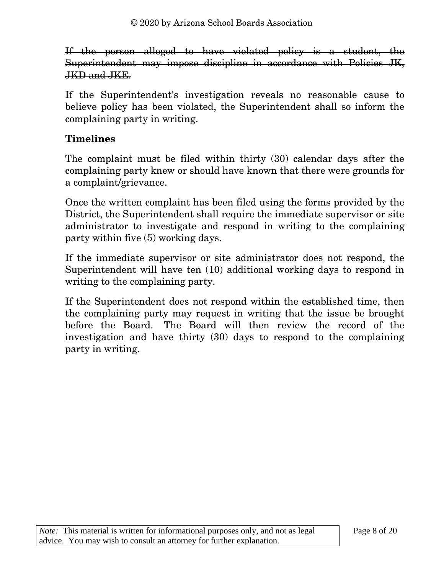If the person alleged to have violated policy is a student, the Superintendent may impose discipline in accordance with Policies JK, JKD and JKE.

If the Superintendent's investigation reveals no reasonable cause to believe policy has been violated, the Superintendent shall so inform the complaining party in writing.

# **Timelines**

The complaint must be filed within thirty (30) calendar days after the complaining party knew or should have known that there were grounds for a complaint/grievance.

Once the written complaint has been filed using the forms provided by the District, the Superintendent shall require the immediate supervisor or site administrator to investigate and respond in writing to the complaining party within five (5) working days.

If the immediate supervisor or site administrator does not respond, the Superintendent will have ten (10) additional working days to respond in writing to the complaining party.

If the Superintendent does not respond within the established time, then the complaining party may request in writing that the issue be brought before the Board. The Board will then review the record of the investigation and have thirty (30) days to respond to the complaining party in writing.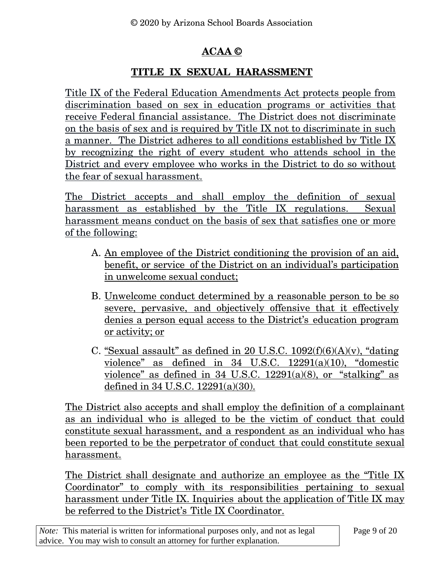# **ACAA ©**

### **TITLE IX SEXUAL HARASSMENT**

Title IX of the Federal Education Amendments Act protects people from discrimination based on sex in education programs or activities that receive Federal financial assistance. The District does not discriminate on the basis of sex and is required by Title IX not to discriminate in such a manner. The District adheres to all conditions established by Title IX by recognizing the right of every student who attends school in the District and every employee who works in the District to do so without the fear of sexual harassment.

The District accepts and shall employ the definition of sexual harassment as established by the Title IX regulations. Sexual harassment means conduct on the basis of sex that satisfies one or more of the following:

- A. An employee of the District conditioning the provision of an aid, benefit, or service of the District on an individual's participation in unwelcome sexual conduct;
- B. Unwelcome conduct determined by a reasonable person to be so severe, pervasive, and objectively offensive that it effectively denies a person equal access to the District's education program or activity; or
- C. "Sexual assault" as defined in 20 U.S.C.  $1092(f)(6)(A)(v)$ , "dating" violence" as defined in 34 U.S.C. 12291(a)(10), "domestic violence" as defined in  $34 \text{ U.S.C. } 12291(a)(8)$ , or "stalking" as defined in 34 U.S.C. 12291(a)(30).

The District also accepts and shall employ the definition of a complainant as an individual who is alleged to be the victim of conduct that could constitute sexual harassment, and a respondent as an individual who has been reported to be the perpetrator of conduct that could constitute sexual harassment.

The District shall designate and authorize an employee as the "Title IX Coordinator" to comply with its responsibilities pertaining to sexual harassment under Title IX. Inquiries about the application of Title IX may be referred to the District's Title IX Coordinator.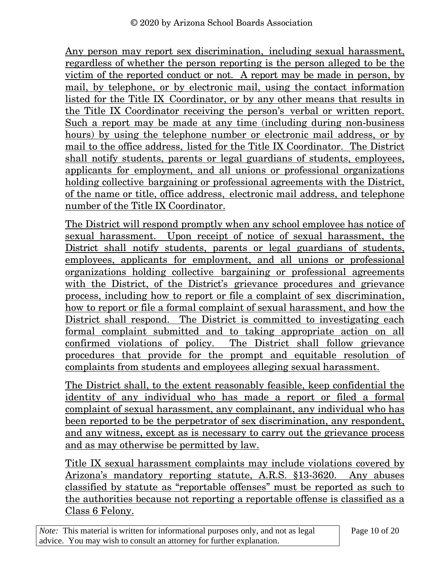Any person may report sex discrimination, including sexual harassment, regardless of whether the person reporting is the person alleged to be the victim of the reported conduct or not. A report may be made in person, by mail, by telephone, or by electronic mail, using the contact information listed for the Title IX Coordinator, or by any other means that results in the Title IX Coordinator receiving the person's verbal or written report. Such a report may be made at any time (including during non-business hours) by using the telephone number or electronic mail address, or by mail to the office address, listed for the Title IX Coordinator. The District shall notify students, parents or legal guardians of students, employees, applicants for employment, and all unions or professional organizations holding collective bargaining or professional agreements with the District, of the name or title, office address, electronic mail address, and telephone number of the Title IX Coordinator.

The District will respond promptly when any school employee has notice of sexual harassment. Upon receipt of notice of sexual harassment, the District shall notify students, parents or legal guardians of students, employees, applicants for employment, and all unions or professional organizations holding collective bargaining or professional agreements with the District, of the District's grievance procedures and grievance process, including how to report or file a complaint of sex discrimination, how to report or file a formal complaint of sexual harassment, and how the District shall respond. The District is committed to investigating each formal complaint submitted and to taking appropriate action on all confirmed violations of policy. The District shall follow grievance procedures that provide for the prompt and equitable resolution of complaints from students and employees alleging sexual harassment.

The District shall, to the extent reasonably feasible, keep confidential the identity of any individual who has made a report or filed a formal complaint of sexual harassment, any complainant, any individual who has been reported to be the perpetrator of sex discrimination, any respondent, and any witness, except as is necessary to carry out the grievance process and as may otherwise be permitted by law.

Title IX sexual harassment complaints may include violations covered by Arizona's mandatory reporting statute, A.R.S. §13-3620. Any abuses classified by statute as "reportable offenses" must be reported as such to the authorities because not reporting a reportable offense is classified as a Class 6 Felony.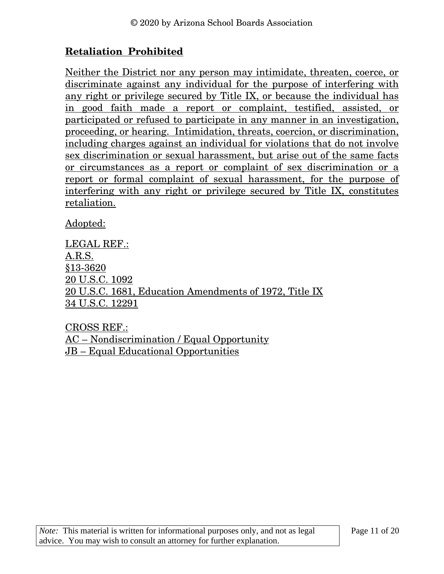# **Retaliation Prohibited**

Neither the District nor any person may intimidate, threaten, coerce, or discriminate against any individual for the purpose of interfering with any right or privilege secured by Title IX, or because the individual has in good faith made a report or complaint, testified, assisted, or participated or refused to participate in any manner in an investigation, proceeding, or hearing. Intimidation, threats, coercion, or discrimination, including charges against an individual for violations that do not involve sex discrimination or sexual harassment, but arise out of the same facts or circumstances as a report or complaint of sex discrimination or a report or formal complaint of sexual harassment, for the purpose of interfering with any right or privilege secured by Title IX, constitutes retaliation.

Adopted:

LEGAL REF.: A.R.S. §13-3620 20 U.S.C. 1092 20 U.S.C. 1681, Education Amendments of 1972, Title IX 34 U.S.C. 12291

CROSS REF.: AC – Nondiscrimination / Equal Opportunity JB – Equal Educational Opportunities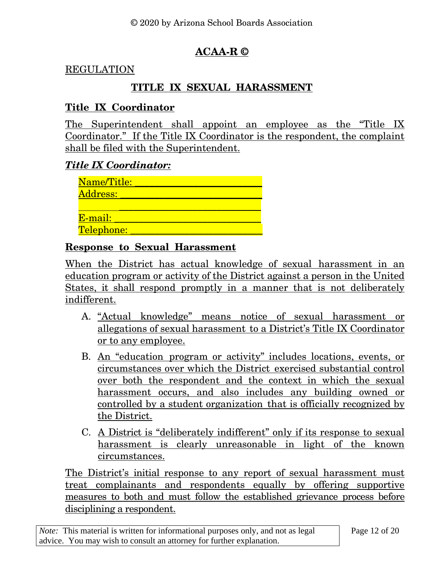# **ACAA-R ©**

#### REGULATION

## **TITLE IX SEXUAL HARASSMENT**

#### **Title IX Coordinator**

The Superintendent shall appoint an employee as the "Title IX Coordinator." If the Title IX Coordinator is the respondent, the complaint shall be filed with the Superintendent.

#### *Title IX Coordinator:*

| Name/Title: |  |
|-------------|--|
| Address:    |  |
|             |  |
| E-mail:     |  |
| Telephone:  |  |

#### **Response to Sexual Harassment**

When the District has actual knowledge of sexual harassment in an education program or activity of the District against a person in the United States, it shall respond promptly in a manner that is not deliberately indifferent.

- A. "Actual knowledge" means notice of sexual harassment or allegations of sexual harassment to a District's Title IX Coordinator or to any employee.
- B. An "education program or activity" includes locations, events, or circumstances over which the District exercised substantial control over both the respondent and the context in which the sexual harassment occurs, and also includes any building owned or controlled by a student organization that is officially recognized by the District.
- C. A District is "deliberately indifferent" only if its response to sexual harassment is clearly unreasonable in light of the known circumstances.

The District's initial response to any report of sexual harassment must treat complainants and respondents equally by offering supportive measures to both and must follow the established grievance process before disciplining a respondent.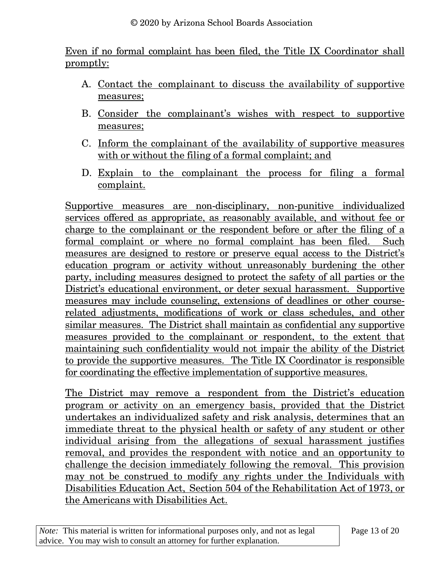Even if no formal complaint has been filed, the Title IX Coordinator shall promptly:

- A. Contact the complainant to discuss the availability of supportive measures;
- B. Consider the complainant's wishes with respect to supportive measures;
- C. Inform the complainant of the availability of supportive measures with or without the filing of a formal complaint; and
- D. Explain to the complainant the process for filing a formal complaint.

Supportive measures are non-disciplinary, non-punitive individualized services offered as appropriate, as reasonably available, and without fee or charge to the complainant or the respondent before or after the filing of a formal complaint or where no formal complaint has been filed. Such measures are designed to restore or preserve equal access to the District's education program or activity without unreasonably burdening the other party, including measures designed to protect the safety of all parties or the District's educational environment, or deter sexual harassment. Supportive measures may include counseling, extensions of deadlines or other courserelated adjustments, modifications of work or class schedules, and other similar measures. The District shall maintain as confidential any supportive measures provided to the complainant or respondent, to the extent that maintaining such confidentiality would not impair the ability of the District to provide the supportive measures. The Title IX Coordinator is responsible for coordinating the effective implementation of supportive measures.

The District may remove a respondent from the District's education program or activity on an emergency basis, provided that the District undertakes an individualized safety and risk analysis, determines that an immediate threat to the physical health or safety of any student or other individual arising from the allegations of sexual harassment justifies removal, and provides the respondent with notice and an opportunity to challenge the decision immediately following the removal. This provision may not be construed to modify any rights under the Individuals with Disabilities Education Act, Section 504 of the Rehabilitation Act of 1973, or the Americans with Disabilities Act.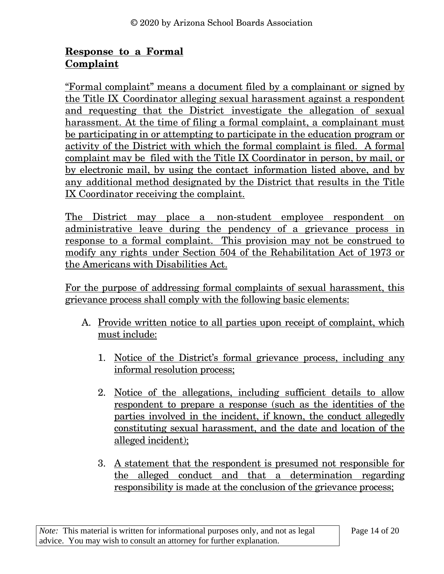# **Response to a Formal Complaint**

"Formal complaint" means a document filed by a complainant or signed by the Title IX Coordinator alleging sexual harassment against a respondent and requesting that the District investigate the allegation of sexual harassment. At the time of filing a formal complaint, a complainant must be participating in or attempting to participate in the education program or activity of the District with which the formal complaint is filed. A formal complaint may be filed with the Title IX Coordinator in person, by mail, or by electronic mail, by using the contact information listed above, and by any additional method designated by the District that results in the Title IX Coordinator receiving the complaint.

The District may place a non-student employee respondent on administrative leave during the pendency of a grievance process in response to a formal complaint. This provision may not be construed to modify any rights under Section 504 of the Rehabilitation Act of 1973 or the Americans with Disabilities Act.

For the purpose of addressing formal complaints of sexual harassment, this grievance process shall comply with the following basic elements:

- A. Provide written notice to all parties upon receipt of complaint, which must include:
	- 1. Notice of the District's formal grievance process, including any informal resolution process;
	- 2. Notice of the allegations, including sufficient details to allow respondent to prepare a response (such as the identities of the parties involved in the incident, if known, the conduct allegedly constituting sexual harassment, and the date and location of the alleged incident);
	- 3. A statement that the respondent is presumed not responsible for the alleged conduct and that a determination regarding responsibility is made at the conclusion of the grievance process;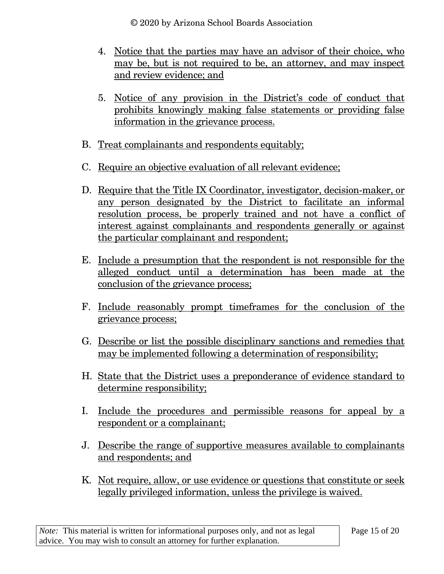© 2020 by Arizona School Boards Association

- 4. Notice that the parties may have an advisor of their choice, who may be, but is not required to be, an attorney, and may inspect and review evidence; and
- 5. Notice of any provision in the District's code of conduct that prohibits knowingly making false statements or providing false information in the grievance process.
- B. Treat complainants and respondents equitably;
- C. Require an objective evaluation of all relevant evidence;
- D. Require that the Title IX Coordinator, investigator, decision-maker, or any person designated by the District to facilitate an informal resolution process, be properly trained and not have a conflict of interest against complainants and respondents generally or against the particular complainant and respondent;
- E. Include a presumption that the respondent is not responsible for the alleged conduct until a determination has been made at the conclusion of the grievance process;
- F. Include reasonably prompt timeframes for the conclusion of the grievance process;
- G. Describe or list the possible disciplinary sanctions and remedies that may be implemented following a determination of responsibility;
- H. State that the District uses a preponderance of evidence standard to determine responsibility;
- I. Include the procedures and permissible reasons for appeal by a respondent or a complainant;
- J. Describe the range of supportive measures available to complainants and respondents; and
- K. Not require, allow, or use evidence or questions that constitute or seek legally privileged information, unless the privilege is waived.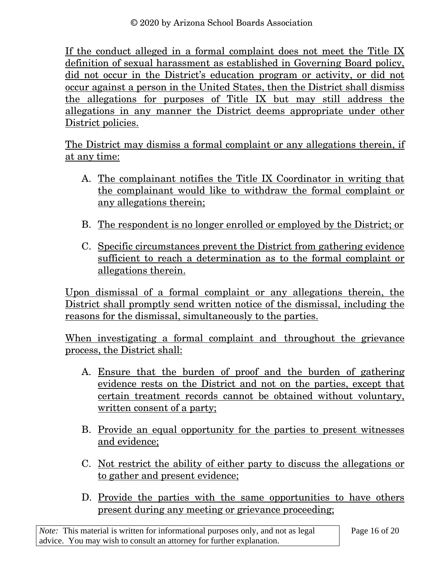© 2020 by Arizona School Boards Association

If the conduct alleged in a formal complaint does not meet the Title IX definition of sexual harassment as established in Governing Board policy, did not occur in the District's education program or activity, or did not occur against a person in the United States, then the District shall dismiss the allegations for purposes of Title IX but may still address the allegations in any manner the District deems appropriate under other District policies.

The District may dismiss a formal complaint or any allegations therein, if at any time:

- A. The complainant notifies the Title IX Coordinator in writing that the complainant would like to withdraw the formal complaint or any allegations therein;
- B. The respondent is no longer enrolled or employed by the District; or
- C. Specific circumstances prevent the District from gathering evidence sufficient to reach a determination as to the formal complaint or allegations therein.

Upon dismissal of a formal complaint or any allegations therein, the District shall promptly send written notice of the dismissal, including the reasons for the dismissal, simultaneously to the parties.

When investigating a formal complaint and throughout the grievance process, the District shall:

- A. Ensure that the burden of proof and the burden of gathering evidence rests on the District and not on the parties, except that certain treatment records cannot be obtained without voluntary, written consent of a party;
- B. Provide an equal opportunity for the parties to present witnesses and evidence;
- C. Not restrict the ability of either party to discuss the allegations or to gather and present evidence;
- D. Provide the parties with the same opportunities to have others present during any meeting or grievance proceeding;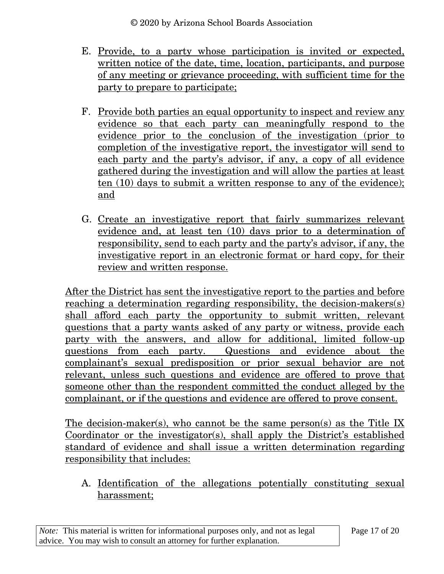- E. Provide, to a party whose participation is invited or expected, written notice of the date, time, location, participants, and purpose of any meeting or grievance proceeding, with sufficient time for the party to prepare to participate;
- F. Provide both parties an equal opportunity to inspect and review any evidence so that each party can meaningfully respond to the evidence prior to the conclusion of the investigation (prior to completion of the investigative report, the investigator will send to each party and the party's advisor, if any, a copy of all evidence gathered during the investigation and will allow the parties at least ten (10) days to submit a written response to any of the evidence); and
- G. Create an investigative report that fairly summarizes relevant evidence and, at least ten (10) days prior to a determination of responsibility, send to each party and the party's advisor, if any, the investigative report in an electronic format or hard copy, for their review and written response.

After the District has sent the investigative report to the parties and before reaching a determination regarding responsibility, the decision-makers(s) shall afford each party the opportunity to submit written, relevant questions that a party wants asked of any party or witness, provide each party with the answers, and allow for additional, limited follow-up questions from each party. Questions and evidence about the complainant's sexual predisposition or prior sexual behavior are not relevant, unless such questions and evidence are offered to prove that someone other than the respondent committed the conduct alleged by the complainant, or if the questions and evidence are offered to prove consent.

The decision-maker(s), who cannot be the same person(s) as the Title IX Coordinator or the investigator(s), shall apply the District's established standard of evidence and shall issue a written determination regarding responsibility that includes:

A. Identification of the allegations potentially constituting sexual harassment;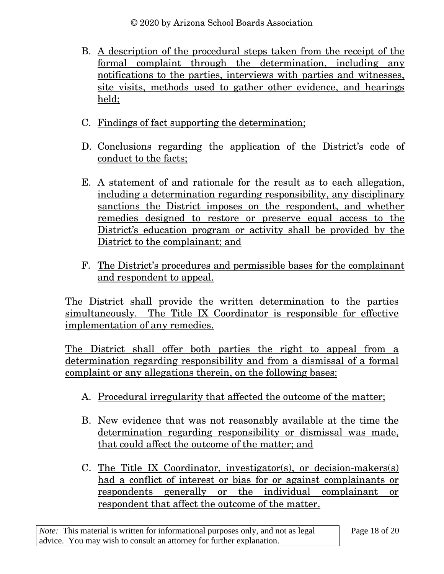© 2020 by Arizona School Boards Association

- B. A description of the procedural steps taken from the receipt of the formal complaint through the determination, including any notifications to the parties, interviews with parties and witnesses, site visits, methods used to gather other evidence, and hearings held;
- C. Findings of fact supporting the determination;
- D. Conclusions regarding the application of the District's code of conduct to the facts;
- E. A statement of and rationale for the result as to each allegation, including a determination regarding responsibility, any disciplinary sanctions the District imposes on the respondent, and whether remedies designed to restore or preserve equal access to the District's education program or activity shall be provided by the District to the complainant; and
- F. The District's procedures and permissible bases for the complainant and respondent to appeal.

The District shall provide the written determination to the parties simultaneously. The Title IX Coordinator is responsible for effective implementation of any remedies.

The District shall offer both parties the right to appeal from a determination regarding responsibility and from a dismissal of a formal complaint or any allegations therein, on the following bases:

- A. Procedural irregularity that affected the outcome of the matter;
- B. New evidence that was not reasonably available at the time the determination regarding responsibility or dismissal was made, that could affect the outcome of the matter; and
- C. The Title IX Coordinator, investigator(s), or decision-makers(s) had a conflict of interest or bias for or against complainants or respondents generally or the individual complainant or respondent that affect the outcome of the matter.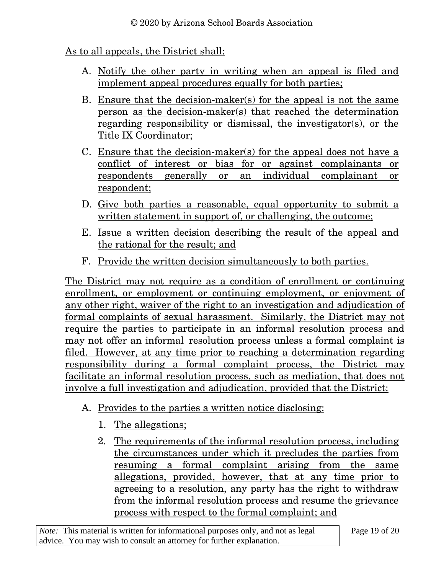# As to all appeals, the District shall:

- A. Notify the other party in writing when an appeal is filed and implement appeal procedures equally for both parties;
- B. Ensure that the decision-maker(s) for the appeal is not the same person as the decision-maker(s) that reached the determination regarding responsibility or dismissal, the investigator(s), or the Title IX Coordinator;
- C. Ensure that the decision-maker(s) for the appeal does not have a conflict of interest or bias for or against complainants or respondents generally or an individual complainant or respondent;
- D. Give both parties a reasonable, equal opportunity to submit a written statement in support of, or challenging, the outcome;
- E. Issue a written decision describing the result of the appeal and the rational for the result; and
- F. Provide the written decision simultaneously to both parties.

The District may not require as a condition of enrollment or continuing enrollment, or employment or continuing employment, or enjoyment of any other right, waiver of the right to an investigation and adjudication of formal complaints of sexual harassment. Similarly, the District may not require the parties to participate in an informal resolution process and may not offer an informal resolution process unless a formal complaint is filed. However, at any time prior to reaching a determination regarding responsibility during a formal complaint process, the District may facilitate an informal resolution process, such as mediation, that does not involve a full investigation and adjudication, provided that the District:

- A. Provides to the parties a written notice disclosing:
	- 1. The allegations;
	- 2. The requirements of the informal resolution process, including the circumstances under which it precludes the parties from resuming a formal complaint arising from the same allegations, provided, however, that at any time prior to agreeing to a resolution, any party has the right to withdraw from the informal resolution process and resume the grievance process with respect to the formal complaint; and

*Note:* This material is written for informational purposes only, and not as legal advice. You may wish to consult an attorney for further explanation.